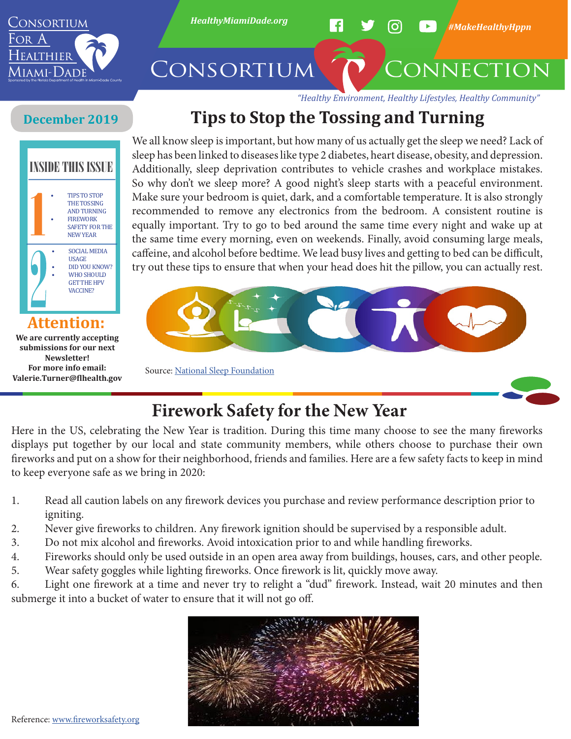

# **Tips to Stop the Tossing and Turning**

### **December 2019**



**We are currently accepting submissions for our next Newsletter! For more info email: Valerie.Turner@flhealth.gov**

We all know sleep is important, but how many of us actually get the sleep we need? Lack of sleep has been linked to diseases like type 2 diabetes, heart disease, obesity, and depression. Additionally, sleep deprivation contributes to vehicle crashes and workplace mistakes. So why don't we sleep more? A good night's sleep starts with a peaceful environment. Make sure your bedroom is quiet, dark, and a comfortable temperature. It is also strongly recommended to remove any electronics from the bedroom. A consistent routine is equally important. Try to go to bed around the same time every night and wake up at the same time every morning, even on weekends. Finally, avoid consuming large meals, caffeine, and alcohol before bedtime. We lead busy lives and getting to bed can be difficult, try out these tips to ensure that when your head does hit the pillow, you can actually rest.



Source: National Sleep Foundation



# **Firework Safety for the New Year**

Here in the US, celebrating the New Year is tradition. During this time many choose to see the many fireworks displays put together by our local and state community members, while others choose to purchase their own fireworks and put on a show for their neighborhood, friends and families. Here are a few safety facts to keep in mind to keep everyone safe as we bring in 2020:

- 1. Read all caution labels on any firework devices you purchase and review performance description prior to igniting.
- 2. Never give fireworks to children. Any firework ignition should be supervised by a responsible adult.
- 3. Do not mix alcohol and fireworks. Avoid intoxication prior to and while handling fireworks.
- 4. Fireworks should only be used outside in an open area away from buildings, houses, cars, and other people.
- 5. Wear safety goggles while lighting fireworks. Once firework is lit, quickly move away.

6. Light one firework at a time and never try to relight a "dud" firework. Instead, wait 20 minutes and then submerge it into a bucket of water to ensure that it will not go off.